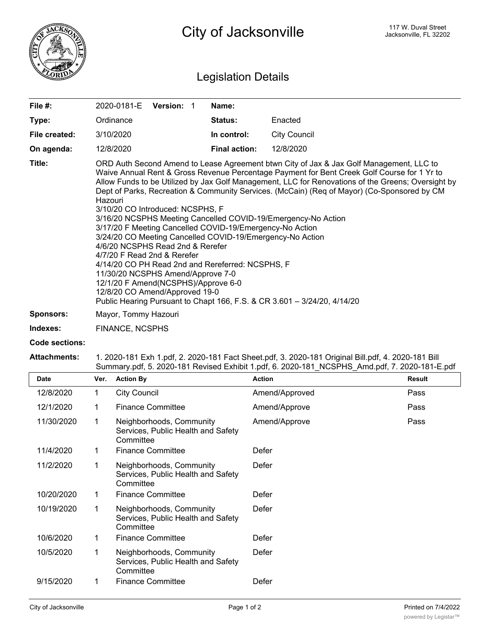

## Legislation Details

| File $#$ :    | 2020-0181-E                                                                                                                                                                                                                                                                                                                                                                                                                                                                                                                                                                                                                                                                                                                                                                                                                                                                                                                                           | Version: 1 |  | Name:                |                     |  |  |
|---------------|-------------------------------------------------------------------------------------------------------------------------------------------------------------------------------------------------------------------------------------------------------------------------------------------------------------------------------------------------------------------------------------------------------------------------------------------------------------------------------------------------------------------------------------------------------------------------------------------------------------------------------------------------------------------------------------------------------------------------------------------------------------------------------------------------------------------------------------------------------------------------------------------------------------------------------------------------------|------------|--|----------------------|---------------------|--|--|
| Type:         | Ordinance                                                                                                                                                                                                                                                                                                                                                                                                                                                                                                                                                                                                                                                                                                                                                                                                                                                                                                                                             |            |  | <b>Status:</b>       | Enacted             |  |  |
| File created: | 3/10/2020                                                                                                                                                                                                                                                                                                                                                                                                                                                                                                                                                                                                                                                                                                                                                                                                                                                                                                                                             |            |  | In control:          | <b>City Council</b> |  |  |
| On agenda:    | 12/8/2020                                                                                                                                                                                                                                                                                                                                                                                                                                                                                                                                                                                                                                                                                                                                                                                                                                                                                                                                             |            |  | <b>Final action:</b> | 12/8/2020           |  |  |
| Title:        | ORD Auth Second Amend to Lease Agreement btwn City of Jax & Jax Golf Management, LLC to<br>Waive Annual Rent & Gross Revenue Percentage Payment for Bent Creek Golf Course for 1 Yr to<br>Allow Funds to be Utilized by Jax Golf Management, LLC for Renovations of the Greens; Oversight by<br>Dept of Parks, Recreation & Community Services. (McCain) (Req of Mayor) (Co-Sponsored by CM<br>Hazouri<br>3/10/20 CO Introduced: NCSPHS, F<br>3/16/20 NCSPHS Meeting Cancelled COVID-19/Emergency-No Action<br>3/17/20 F Meeting Cancelled COVID-19/Emergency-No Action<br>3/24/20 CO Meeting Cancelled COVID-19/Emergency-No Action<br>4/6/20 NCSPHS Read 2nd & Rerefer<br>4/7/20 F Read 2nd & Rerefer<br>4/14/20 CO PH Read 2nd and Rereferred: NCSPHS, F<br>11/30/20 NCSPHS Amend/Approve 7-0<br>12/1/20 F Amend(NCSPHS)/Approve 6-0<br>12/8/20 CO Amend/Approved 19-0<br>Public Hearing Pursuant to Chapt 166, F.S. & CR 3.601 - 3/24/20, 4/14/20 |            |  |                      |                     |  |  |
| Sponsors:     | Mayor, Tommy Hazouri                                                                                                                                                                                                                                                                                                                                                                                                                                                                                                                                                                                                                                                                                                                                                                                                                                                                                                                                  |            |  |                      |                     |  |  |
| Indexes:      | <b>FINANCE, NCSPHS</b>                                                                                                                                                                                                                                                                                                                                                                                                                                                                                                                                                                                                                                                                                                                                                                                                                                                                                                                                |            |  |                      |                     |  |  |

**Code sections:**

## **Attachments:** 1. 2020-181 Exh 1.pdf, 2. 2020-181 Fact Sheet.pdf, 3. 2020-181 Original Bill.pdf, 4. 2020-181 Bill Summary.pdf, 5. 2020-181 Revised Exhibit 1.pdf, 6. 2020-181\_NCSPHS\_Amd.pdf, 7. 2020-181-E.pdf

| <b>Date</b> | Ver. | <b>Action By</b>                                                            | <b>Action</b>  | <b>Result</b> |
|-------------|------|-----------------------------------------------------------------------------|----------------|---------------|
| 12/8/2020   | 1    | <b>City Council</b>                                                         | Amend/Approved | Pass          |
| 12/1/2020   | 1    | <b>Finance Committee</b>                                                    | Amend/Approve  | Pass          |
| 11/30/2020  | 1    | Neighborhoods, Community<br>Services, Public Health and Safety<br>Committee | Amend/Approve  | Pass          |
| 11/4/2020   | 1    | <b>Finance Committee</b>                                                    | Defer          |               |
| 11/2/2020   | 1    | Neighborhoods, Community<br>Services, Public Health and Safety<br>Committee | Defer          |               |
| 10/20/2020  | 1.   | <b>Finance Committee</b>                                                    | Defer          |               |
| 10/19/2020  | 1    | Neighborhoods, Community<br>Services, Public Health and Safety<br>Committee | Defer          |               |
| 10/6/2020   | 1    | <b>Finance Committee</b>                                                    | Defer          |               |
| 10/5/2020   | 1    | Neighborhoods, Community<br>Services, Public Health and Safety<br>Committee | Defer          |               |
| 9/15/2020   | 1    | <b>Finance Committee</b>                                                    | Defer          |               |